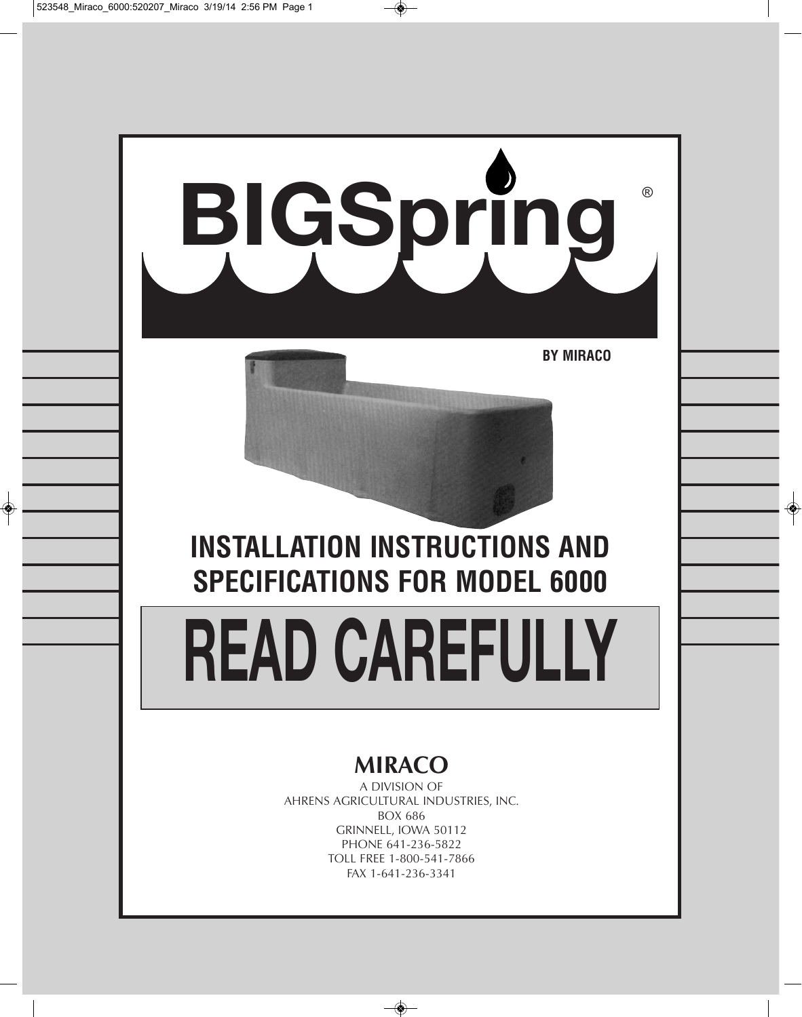

FAX 1-641-236-3341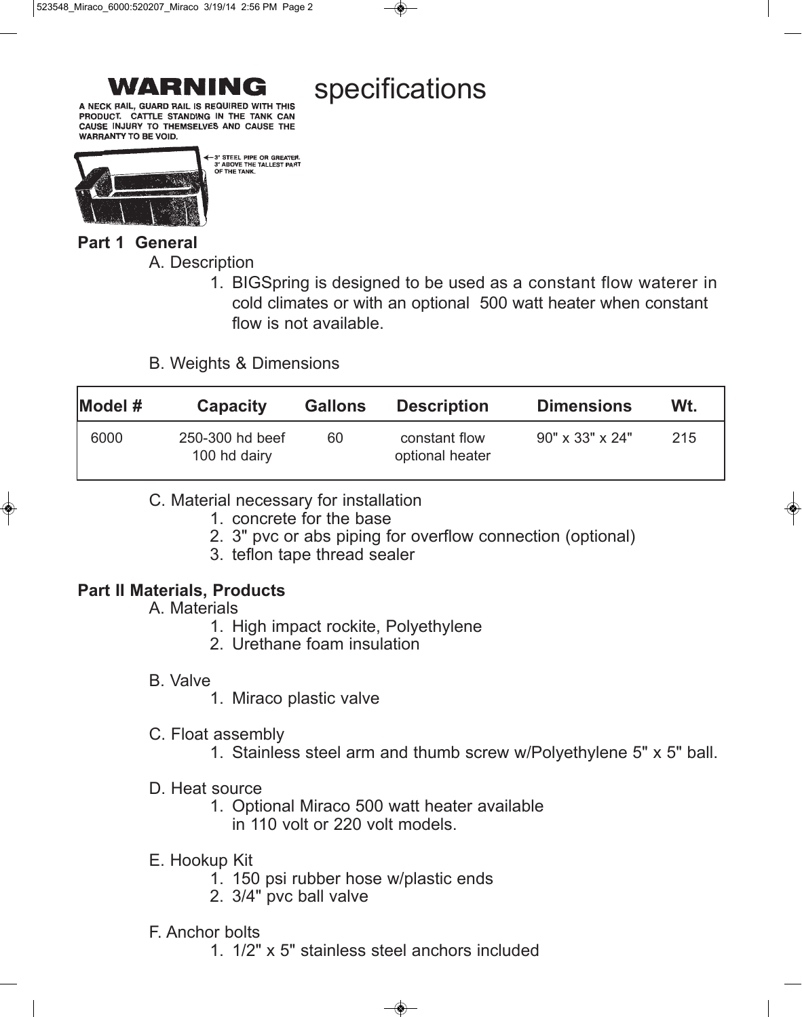specifications

A NECK RAIL, GUARD RAIL IS REQUIRED WITH THIS PRODUCT. CATTLE STANDING IN THE TANK CAN CAUSE INJURY TO THEMSELVES AND CAUSE THE **WARRANTY TO BE VOID.** 



**Part 1 General** 

A. Description

1. BIGSpring is designed to be used as a constant flow waterer in cold climates or with an optional 500 watt heater when constant flow is not available.

B. Weights & Dimensions

-3" STEEL PIPE OR GREATER 3" ABOVE THE TALLEST PART OF THE TANK

| $\blacksquare$ Model # | <b>Capacity</b>                 | <b>Gallons</b> | <b>Description</b>               | <b>Dimensions</b>           | Wt. |
|------------------------|---------------------------------|----------------|----------------------------------|-----------------------------|-----|
| 6000                   | 250-300 hd beef<br>100 hd dairy | 60             | constant flow<br>optional heater | $90" \times 33" \times 24"$ | 215 |

- C. Material necessary for installation
	- 1. concrete for the base
	- 2. 3" pvc or abs piping for overflow connection (optional)
	- 3. teflon tape thread sealer

# **Part II Materials, Products**

- A. Materials
	- 1. High impact rockite, Polyethylene
	- 2. Urethane foam insulation

# B. Valve

- 1. Miraco plastic valve
- C. Float assembly
	- 1. Stainless steel arm and thumb screw w/Polyethylene 5" x 5" ball.
- D. Heat source
	- 1. Optional Miraco 500 watt heater available in 110 volt or 220 volt models.
- E. Hookup Kit
	- 1. 150 psi rubber hose w/plastic ends
	- 2. 3/4" pvc ball valve

# F. Anchor bolts

1. 1/2" x 5" stainless steel anchors included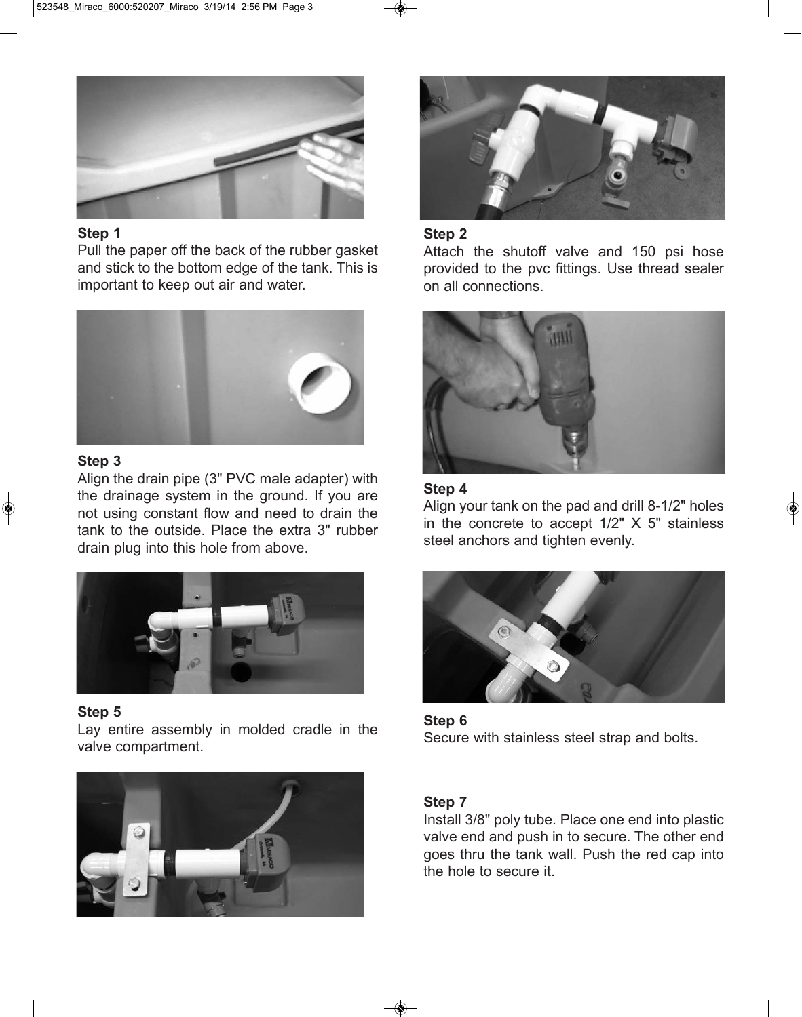

### **Step 1**

Pull the paper off the back of the rubber gasket and stick to the bottom edge of the tank. This is important to keep out air and water.



## **Step 3**

Align the drain pipe (3" PVC male adapter) with the drainage system in the ground. If you are not using constant flow and need to drain the tank to the outside. Place the extra 3" rubber drain plug into this hole from above.



# **Step 5**

Lay entire assembly in molded cradle in the valve compartment.





### **Step 2**

Attach the shutoff valve and 150 psi hose provided to the pvc fittings. Use thread sealer on all connections.



## **Step 4**

Align your tank on the pad and drill 8-1/2" holes in the concrete to accept 1/2" X 5" stainless steel anchors and tighten evenly.



**Step 6** Secure with stainless steel strap and bolts.

## **Step 7**

Install 3/8" poly tube. Place one end into plastic valve end and push in to secure. The other end goes thru the tank wall. Push the red cap into the hole to secure it.